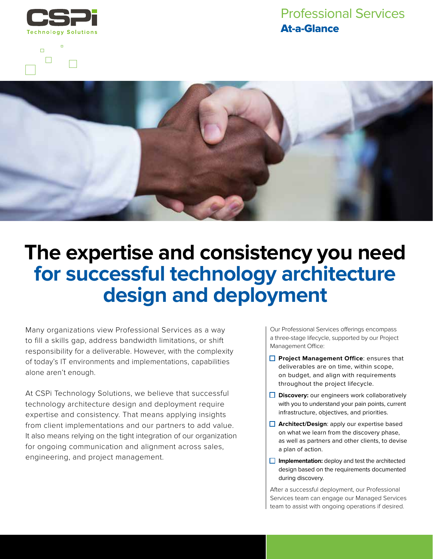

 $\Box$ 

## Professional Services At-a-Glance



## **The expertise and consistency you need for successful technology architecture design and deployment**

Many organizations view Professional Services as a way to fill a skills gap, address bandwidth limitations, or shift responsibility for a deliverable. However, with the complexity of today's IT environments and implementations, capabilities alone aren't enough.

At CSPi Technology Solutions, we believe that successful technology architecture design and deployment require expertise and consistency. That means applying insights from client implementations and our partners to add value. It also means relying on the tight integration of our organization for ongoing communication and alignment across sales, engineering, and project management.

Our Professional Services offerings encompass a three-stage lifecycle, supported by our Project Management Office:

- **Project Management Office: ensures that** deliverables are on time, within scope, on budget, and align with requirements throughout the project lifecycle.
- **Discovery:** our engineers work collaboratively with you to understand your pain points, current infrastructure, objectives, and priorities.
- **Architect/Design: apply our expertise based** on what we learn from the discovery phase, as well as partners and other clients, to devise a plan of action.
- **Implementation:** deploy and test the architected design based on the requirements documented during discovery.

After a successful deployment, our Professional Services team can engage our Managed Services team to assist with ongoing operations if desired.